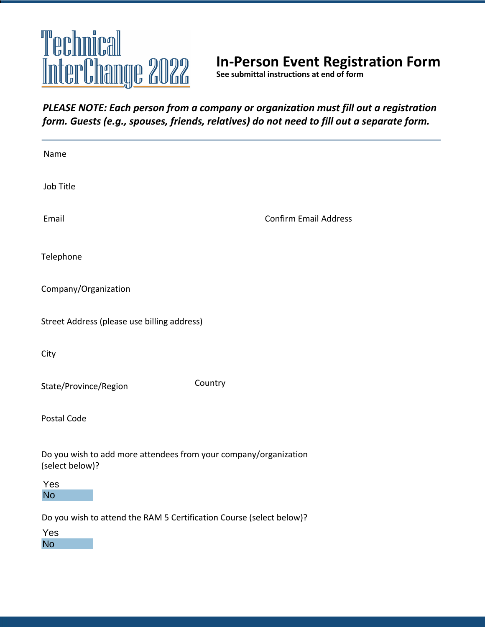# Technical InterChange 2022

# **In-Person Event Registration Form**

**See submittal instructions at end of form**

# *PLEASE NOTE: Each person from a company or organization must fill out a registration form. Guests (e.g., spouses, friends, relatives) do not need to fill out a separate form.*

| Name                                                                                     |                              |  |
|------------------------------------------------------------------------------------------|------------------------------|--|
| Job Title                                                                                |                              |  |
| Email                                                                                    | <b>Confirm Email Address</b> |  |
| Telephone                                                                                |                              |  |
| Company/Organization                                                                     |                              |  |
| Street Address (please use billing address)                                              |                              |  |
| City                                                                                     |                              |  |
| Country<br>State/Province/Region                                                         |                              |  |
| Postal Code                                                                              |                              |  |
| Do you wish to add more attendees from your company/organization<br>(select below)?      |                              |  |
| Yes<br><b>No</b>                                                                         |                              |  |
| Do you wish to attend the RAM 5 Certification Course (select below)?<br>Yes<br><b>No</b> |                              |  |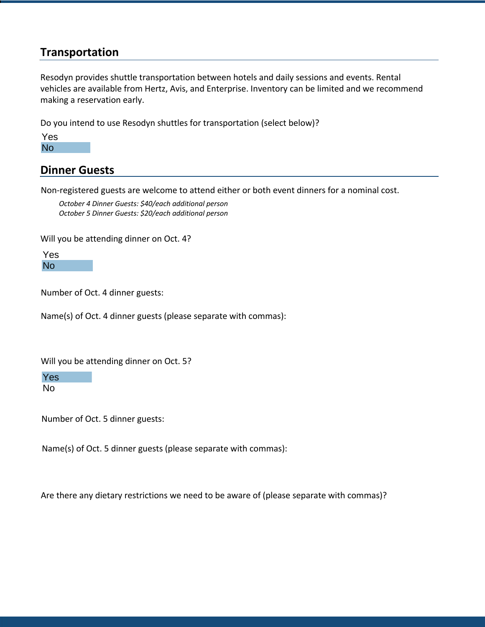# **Transportation**

Resodyn provides shuttle transportation between hotels and daily sessions and events. Rental vehicles are available from Hertz, Avis, and Enterprise. Inventory can be limited and we recommend making a reservation early.

Do you intend to use Resodyn shuttles for transportation (select below)?

# **Dinner Guests**

Non-registered guests are welcome to attend either or both event dinners for a nominal cost.

 *October 4 Dinner Guests: \$40/each additional person October 5 Dinner Guests: \$20/each additional person*

Will you be attending dinner on Oct. 4?

Number of Oct. 4 dinner guests:

Name(s) of Oct. 4 dinner guests (please separate with commas):

Will you be attending dinner on Oct. 5?

Yes No

Number of Oct. 5 dinner guests:

Name(s) of Oct. 5 dinner guests (please separate with commas):

Are there any dietary restrictions we need to be aware of (please separate with commas)?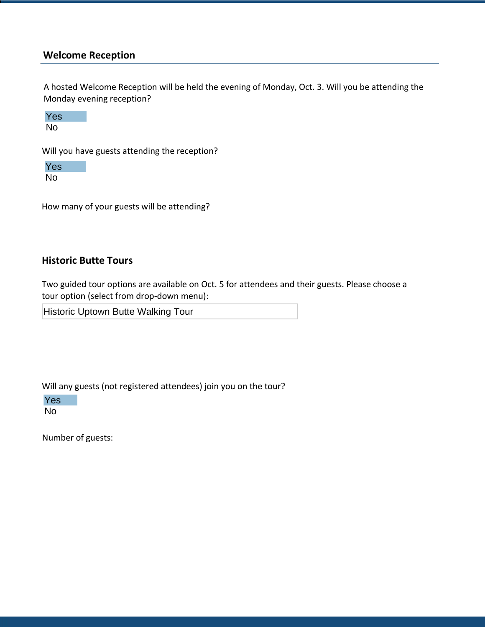### **Welcome Reception**

A hosted Welcome Reception will be held the evening of Monday, Oct. 3. Will you be attending the Monday evening reception?



Will you have guests attending the reception?

Yes No

How many of your guests will be attending?

#### **Historic Butte Tours**

Two guided tour options are available on Oct. 5 for attendees and their guests. Please choose a tour option (select from drop-down menu):

Historic Uptown Butte Walking Tour

Will any guests (not registered attendees) join you on the tour?

Yes No

Number of guests: